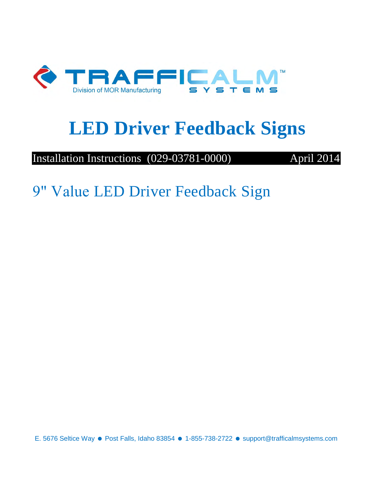

# **LED Driver Feedback Signs**

Installation Instructions (029-03781-0000) April 2014

9" Value LED Driver Feedback Sign

E. 5676 Seltice Way · Post Falls, Idaho 83854 · 1-855-738-2722 · support@trafficalmsystems.com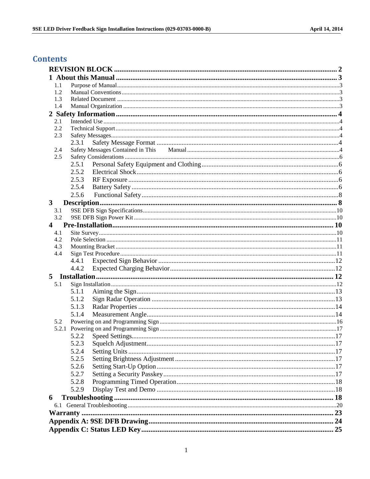### **Contents**

| 1.1                 |       |  |
|---------------------|-------|--|
| 1.2                 |       |  |
| 1.3                 |       |  |
| 1.4                 |       |  |
|                     |       |  |
| 2.1                 |       |  |
| 2.2                 |       |  |
| 2.3                 |       |  |
|                     | 2.3.1 |  |
| 2.4                 |       |  |
| 2.5                 |       |  |
|                     | 2.5.1 |  |
|                     | 2.5.2 |  |
|                     | 2.5.3 |  |
|                     | 2.5.4 |  |
|                     | 2.5.6 |  |
|                     |       |  |
| $\mathbf{3}$<br>3.1 |       |  |
| 3.2                 |       |  |
| 4                   |       |  |
| 4.1                 |       |  |
| 4.2                 |       |  |
| 4.3                 |       |  |
| 4.4                 |       |  |
|                     | 4.4.1 |  |
|                     | 4.4.2 |  |
|                     |       |  |
| 5.1                 |       |  |
|                     |       |  |
|                     | 5.1.1 |  |
|                     | 5.1.2 |  |
|                     | 5.1.3 |  |
|                     | 5.1.4 |  |
| 5.2                 |       |  |
|                     |       |  |
|                     |       |  |
|                     | 5.2.3 |  |
|                     | 5.2.4 |  |
|                     | 5.2.5 |  |
|                     | 5.2.6 |  |
|                     | 5.2.7 |  |
|                     | 5.2.8 |  |
|                     |       |  |
|                     | 5.2.9 |  |
|                     |       |  |
|                     |       |  |
| 6                   |       |  |
|                     |       |  |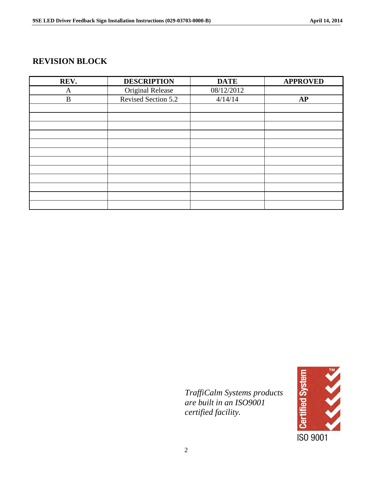### <span id="page-2-0"></span>**REVISION BLOCK**

| REV.     | <b>DESCRIPTION</b>  | <b>DATE</b> | <b>APPROVED</b> |
|----------|---------------------|-------------|-----------------|
| A        | Original Release    | 08/12/2012  |                 |
| $\bf{B}$ | Revised Section 5.2 | 4/14/14     | <b>AP</b>       |
|          |                     |             |                 |
|          |                     |             |                 |
|          |                     |             |                 |
|          |                     |             |                 |
|          |                     |             |                 |
|          |                     |             |                 |
|          |                     |             |                 |
|          |                     |             |                 |
|          |                     |             |                 |
|          |                     |             |                 |
|          |                     |             |                 |
|          |                     |             |                 |

 *TraffiCalm Systems products are built in an ISO9001 certified facility.*

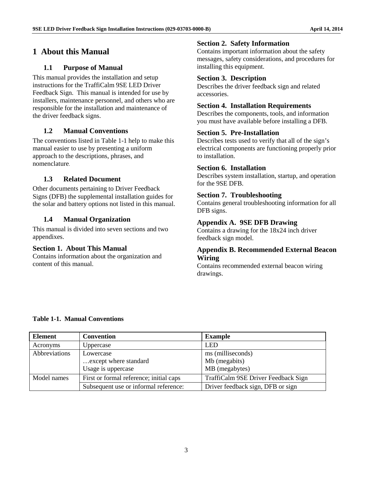### <span id="page-3-1"></span><span id="page-3-0"></span>**1 About this Manual**

### **1.1 Purpose of Manual**

This manual provides the installation and setup instructions for the TraffiCalm 9SE LED Driver Feedback Sign. This manual is intended for use by installers, maintenance personnel, and others who are responsible for the installation and maintenance of the driver feedback signs.

### <span id="page-3-2"></span>**1.2 Manual Conventions**

The conventions listed in Table 1-1 help to make this manual easier to use by presenting a uniform approach to the descriptions, phrases, and nomenclature.

### <span id="page-3-3"></span>**1.3 Related Document**

Other documents pertaining to Driver Feedback Signs (DFB) the supplemental installation guides for the solar and battery options not listed in this manual.

### <span id="page-3-4"></span>**1.4 Manual Organization**

This manual is divided into seven sections and two appendixes.

### **Section 1. About This Manual**

Contains information about the organization and content of this manual.

### **Section 2. Safety Information**

Contains important information about the safety messages, safety considerations, and procedures for installing this equipment.

### **Section 3. Description**

Describes the driver feedback sign and related accessories.

### **Section 4. Installation Requirements**

Describes the components, tools, and information you must have available before installing a DFB.

### **Section 5. Pre-Installation**

Describes tests used to verify that all of the sign's electrical components are functioning properly prior to installation.

#### **Section 6. Installation**

Describes system installation, startup, and operation for the 9SE DFB.

### **Section 7. Troubleshooting**

Contains general troubleshooting information for all DFB signs.

### **Appendix A. 9SE DFB Drawing**

Contains a drawing for the 18x24 inch driver feedback sign model.

### **Appendix B. Recommended External Beacon Wiring**

Contains recommended external beacon wiring drawings.

#### **Table 1-1. Manual Conventions**

| <b>Element</b> | <b>Convention</b>                       | <b>Example</b>                      |
|----------------|-----------------------------------------|-------------------------------------|
| Acronyms       | Uppercase                               | LED                                 |
| Abbreviations  | Lowercase                               | ms (milliseconds)                   |
|                | except where standard                   | Mb (megabits)                       |
|                | Usage is uppercase                      | MB (megabytes)                      |
| Model names    | First or formal reference; initial caps | TraffiCalm 9SE Driver Feedback Sign |
|                | Subsequent use or informal reference:   | Driver feedback sign, DFB or sign   |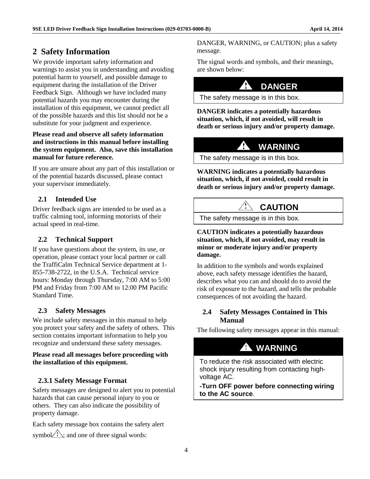### <span id="page-4-0"></span>**2 Safety Information**

We provide important safety information and warnings to assist you in understanding and avoiding potential harm to yourself, and possible damage to equipment during the installation of the Driver Feedback Sign. Although we have included many potential hazards you may encounter during the installation of this equipment, we cannot predict all of the possible hazards and this list should not be a substitute for your judgment and experience.

#### **Please read and observe all safety information and instructions in this manual before installing the system equipment. Also, save this installation manual for future reference.**

If you are unsure about any part of this installation or of the potential hazards discussed, please contact your supervisor immediately.

### <span id="page-4-1"></span>**2.1 Intended Use**

Driver feedback signs are intended to be used as a traffic calming tool, informing motorists of their actual speed in real-time.

### <span id="page-4-2"></span>**2.2 Technical Support**

If you have questions about the system, its use, or operation, please contact your local partner or call the TraffiCalm Technical Service department at 1- 855-738-2722, in the U.S.A. Technical service hours: Monday through Thursday, 7:00 AM to 5:00 PM and Friday from 7:00 AM to 12:00 PM Pacific Standard Time.

### <span id="page-4-3"></span>**2.3 Safety Messages**

We include safety messages in this manual to help you protect your safety and the safety of others. This section contains important information to help you recognize and understand these safety messages.

#### **Please read all messages before proceeding with the installation of this equipment.**

### <span id="page-4-4"></span>**2.3.1 Safety Message Format**

Safety messages are designed to alert you to potential hazards that can cause personal injury to you or others. They can also indicate the possibility of property damage.

Each safety message box contains the safety alert symbol $\Diamond$ : and one of three signal words:

DANGER, WARNING, or CAUTION; plus a safety message.

The signal words and symbols, and their meanings, are shown below:

### **DANGER**

The safety message is in this box.

**DANGER indicates a potentially hazardous situation, which, if not avoided, will result in death or serious injury and/or property damage.** 

### **WARNING**

The safety message is in this box.

**WARNING indicates a potentially hazardous situation, which, if not avoided, could result in death or serious injury and/or property damage.** 

### **CAUTION**

The safety message is in this box.

**CAUTION indicates a potentially hazardous situation, which, if not avoided, may result in minor or moderate injury and/or property damage.** 

In addition to the symbols and words explained above, each safety message identifies the hazard, describes what you can and should do to avoid the risk of exposure to the hazard, and tells the probable consequences of not avoiding the hazard.

### <span id="page-4-5"></span>**2.4 Safety Messages Contained in This Manual**

The following safety messages appear in this manual:

# **WARNING**

To reduce the risk associated with electric shock injury resulting from contacting highvoltage AC.

**-Turn OFF power before connecting wiring to the AC source**.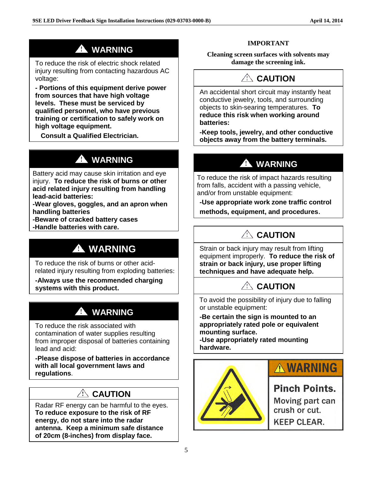# **WARNING**

To reduce the risk of electric shock related injury resulting from contacting hazardous AC voltage:

**- Portions of this equipment derive power from sources that have high voltage levels. These must be serviced by qualified personnel, who have previous training or certification to safely work on high voltage equipment.** 

 **Consult a Qualified Electrician.** 

# **A** WARNING

Battery acid may cause skin irritation and eye injury. **To reduce the risk of burns or other acid related injury resulting from handling lead-acid batteries:**

**-Wear gloves, goggles, and an apron when handling batteries**

**-Beware of cracked battery cases**

**-Handle batteries with care.**

# **WARNING**

To reduce the risk of burns or other acidrelated injury resulting from exploding batteries:

**-Always use the recommended charging systems with this product.**

# **A** WARNING

To reduce the risk associated with contamination of water supplies resulting from improper disposal of batteries containing lead and acid:

**-Please dispose of batteries in accordance with all local government laws and regulations**.

### **CAUTION**

Radar RF energy can be harmful to the eyes. **To reduce exposure to the risk of RF energy, do not stare into the radar antenna. Keep a minimum safe distance of 20cm (8-inches) from display face.**

### **IMPORTANT**

**Cleaning screen surfaces with solvents may damage the screening ink.**

# **CAUTION**

An accidental short circuit may instantly heat conductive jewelry, tools, and surrounding objects to skin-searing temperatures. **To reduce this risk when working around batteries:**

**-Keep tools, jewelry, and other conductive objects away from the battery terminals.**

# **WARNING**

To reduce the risk of impact hazards resulting from falls, accident with a passing vehicle, and/or from unstable equipment:

**-Use appropriate work zone traffic control methods, equipment, and procedures**.

# **CAUTION**

Strain or back injury may result from lifting equipment improperly. **To reduce the risk of strain or back injury, use proper lifting techniques and have adequate help.** 

# **CAUTION**

To avoid the possibility of injury due to falling or unstable equipment:

**-Be certain the sign is mounted to an appropriately rated pole or equivalent mounting surface.**

**-Use appropriately rated mounting hardware.**



# **A WARNING**

### **Pinch Points.**

Moving part can crush or cut. **KEEP CLEAR.**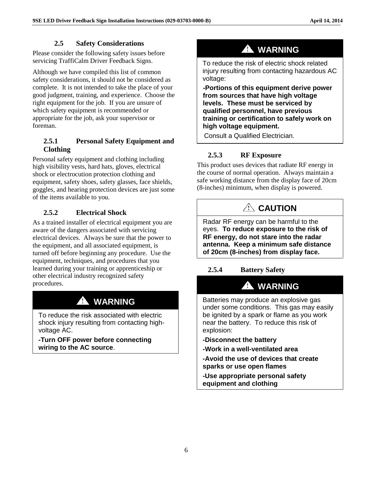### **2.5 Safety Considerations**

<span id="page-6-0"></span>Please consider the following safety issues before servicing TraffiCalm Driver Feedback Signs.

Although we have compiled this list of common safety considerations, it should not be considered as complete. It is not intended to take the place of your good judgment, training, and experience. Choose the right equipment for the job. If you are unsure of which safety equipment is recommended or appropriate for the job, ask your supervisor or foreman.

### <span id="page-6-1"></span>**2.5.1 Personal Safety Equipment and Clothing**

Personal safety equipment and clothing including high visibility vests, hard hats, gloves, electrical shock or electrocution protection clothing and equipment, safety shoes, safety glasses, face shields, goggles, and hearing protection devices are just some of the items available to you.

### <span id="page-6-2"></span>**2.5.2 Electrical Shock**

As a trained installer of electrical equipment you are aware of the dangers associated with servicing electrical devices. Always be sure that the power to the equipment, and all associated equipment, is turned off before beginning any procedure. Use the equipment, techniques, and procedures that you learned during your training or apprenticeship or other electrical industry recognized safety procedures.

# **A** WARNING

To reduce the risk associated with electric shock injury resulting from contacting highvoltage AC.

**-Turn OFF power before connecting wiring to the AC source**.

# **WARNING**

To reduce the risk of electric shock related injury resulting from contacting hazardous AC voltage:

**-Portions of this equipment derive power from sources that have high voltage levels. These must be serviced by qualified personnel, have previous training or certification to safely work on high voltage equipment.** 

<span id="page-6-3"></span>Consult a Qualified Electrician.

### **2.5.3 RF Exposure**

This product uses devices that radiate RF energy in the course of normal operation. Always maintain a safe working distance from the display face of 20cm (8-inches) minimum, when display is powered.

# **CAUTION**

Radar RF energy can be harmful to the eyes. **To reduce exposure to the risk of RF energy, do not stare into the radar antenna. Keep a minimum safe distance of 20cm (8-inches) from display face.**

### <span id="page-6-4"></span>**2.5.4 Battery Safety**

#### A  **WARNING**

Batteries may produce an explosive gas under some conditions. This gas may easily be ignited by a spark or flame as you work near the battery.To reduce this risk of explosion:

- **-Disconnect the battery**
- **-Work in a well-ventilated area**
- **-Avoid the use of devices that create sparks or use open flames**

**-Use appropriate personal safety equipment and clothing**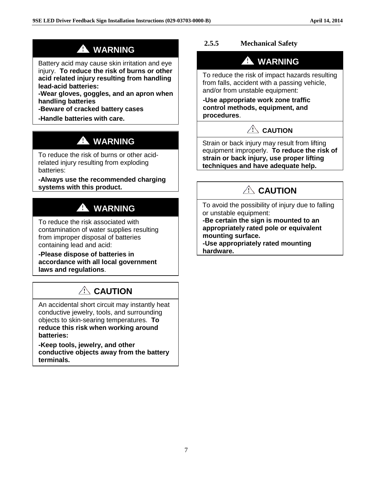# **WARNING**

Battery acid may cause skin irritation and eye injury. **To reduce the risk of burns or other acid related injury resulting from handling lead-acid batteries:**

**-Wear gloves, goggles, and an apron when handling batteries**

**-Beware of cracked battery cases**

**-Handle batteries with care.**

# **WARNING**

To reduce the risk of burns or other acidrelated injury resulting from exploding batteries:

**-Always use the recommended charging systems with this product.**

# **A** WARNING

To reduce the risk associated with contamination of water supplies resulting from improper disposal of batteries containing lead and acid:

**-Please dispose of batteries in accordance with all local government laws and regulations**.

# **CAUTION**

An accidental short circuit may instantly heat conductive jewelry, tools, and surrounding objects to skin-searing temperatures. **To reduce this risk when working around batteries:**

**-Keep tools, jewelry, and other conductive objects away from the battery terminals.**

### **2.5.5 Mechanical Safety**

# **WARNING**

To reduce the risk of impact hazards resulting from falls, accident with a passing vehicle, and/or from unstable equipment:

**-Use appropriate work zone traffic control methods, equipment, and procedures**.

### $\sqrt{2}$  CAUTION

Strain or back injury may result from lifting equipment improperly. **To reduce the risk of strain or back injury, use proper lifting techniques and have adequate help.**

# **CAUTION**

To avoid the possibility of injury due to falling or unstable equipment:

**-Be certain the sign is mounted to an appropriately rated pole or equivalent mounting surface.**

**-Use appropriately rated mounting hardware.**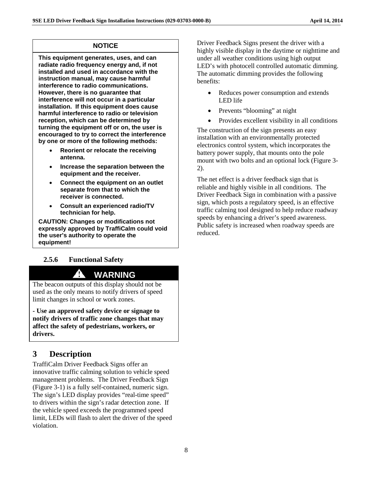### **NOTICE**

**This equipment generates, uses, and can radiate radio frequency energy and, if not installed and used in accordance with the instruction manual, may cause harmful interference to radio communications. However, there is no guarantee that interference will not occur in a particular installation. If this equipment does cause harmful interference to radio or television reception, which can be determined by turning the equipment off or on, the user is encouraged to try to correct the interference by one or more of the following methods:**

- **Reorient or relocate the receiving antenna.**
- **Increase the separation between the equipment and the receiver.**
- **Connect the equipment on an outlet separate from that to which the receiver is connected.**
- **Consult an experienced radio/TV technician for help.**

**CAUTION: Changes or modifications not expressly approved by TraffiCalm could void the user's authority to operate the equipment!**

### <span id="page-8-0"></span>**2.5.6 Functional Safety**

### **WARNING**

The beacon outputs of this display should not be used as the only means to notify drivers of speed limit changes in school or work zones.

**- Use an approved safety device or signage to notify drivers of traffic zone changes that may affect the safety of pedestrians, workers, or drivers.**

### <span id="page-8-1"></span>**3 Description**

TraffiCalm Driver Feedback Signs offer an innovative traffic calming solution to vehicle speed management problems. The Driver Feedback Sign (Figure 3-1) is a fully self-contained, numeric sign. The sign's LED display provides "real-time speed" to drivers within the sign's radar detection zone. If the vehicle speed exceeds the programmed speed limit, LEDs will flash to alert the driver of the speed violation.

Driver Feedback Signs present the driver with a highly visible display in the daytime or nighttime and under all weather conditions using high output LED's with photocell controlled automatic dimming. The automatic dimming provides the following benefits:

- Reduces power consumption and extends LED life
- Prevents "blooming" at night
- Provides excellent visibility in all conditions

The construction of the sign presents an easy installation with an environmentally protected electronics control system, which incorporates the battery power supply, that mounts onto the pole mount with two bolts and an optional lock (Figure 3- 2).

The net effect is a driver feedback sign that is reliable and highly visible in all conditions. The Driver Feedback Sign in combination with a passive sign, which posts a regulatory speed, is an effective traffic calming tool designed to help reduce roadway speeds by enhancing a driver's speed awareness. Public safety is increased when roadway speeds are reduced.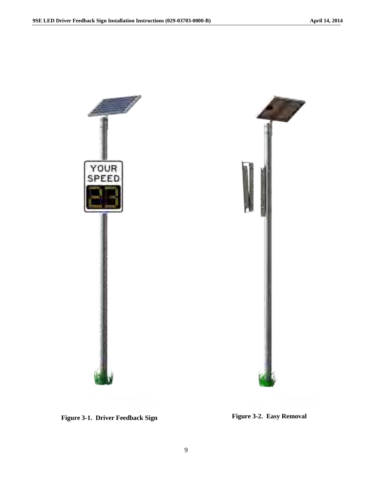

Figure 3-1. Driver Feedback Sign Figure 3-2. Easy Removal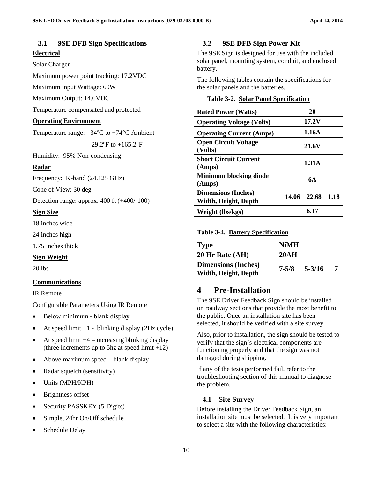### <span id="page-10-0"></span>**3.1 9SE DFB Sign Specifications Electrical**

#### Solar Charger

Maximum power point tracking: 17.2VDC

Maximum input Wattage: 60W

Maximum Output: 14.6VDC

Temperature compensated and protected

#### **Operating Environment**

Temperature range: -34ºC to +74°C Ambient

 $-29.2$ <sup>o</sup>F to  $+165.2$ <sup>o</sup>F

Humidity: 95% Non-condensing

#### **Radar**

Frequency: K-band (24.125 GHz)

Cone of View: 30 deg

Detection range: approx. 400 ft (+400/-100)

#### **Sign Size**

18 inches wide

24 inches high

1.75 inches thick

#### **Sign Weight**

20 lbs

#### **Communications**

IR Remote

Configurable Parameters Using IR Remote

- Below minimum blank display
- At speed limit  $+1$  blinking display (2Hz cycle)
- At speed limit  $+4$  increasing blinking display (three increments up to 5hz at speed limit  $+12$ )
- Above maximum speed blank display
- Radar squelch (sensitivity)
- Units (MPH/KPH)
- Brightness offset
- Security PASSKEY (5-Digits)
- Simple, 24hr On/Off schedule
- Schedule Delay

### <span id="page-10-1"></span>**3.2 9SE DFB Sign Power Kit**

The 9SE Sign is designed for use with the included solar panel, mounting system, conduit, and enclosed battery.

The following tables contain the specifications for the solar panels and the batteries.

|  | <b>Table 3-2. Solar Panel Specification</b> |
|--|---------------------------------------------|
|  |                                             |

| <b>Rated Power (Watts)</b>                         |       | 20    |      |
|----------------------------------------------------|-------|-------|------|
| <b>Operating Voltage (Volts)</b>                   | 17.2V |       |      |
| <b>Operating Current (Amps)</b>                    | 1.16A |       |      |
| <b>Open Circuit Voltage</b><br>(Volts)             | 21.6V |       |      |
| <b>Short Circuit Current</b><br>(Amps)             | 1.31A |       |      |
| <b>Minimum blocking diode</b><br>(Amps)            |       | 6A    |      |
| <b>Dimensions (Inches)</b><br>Width, Height, Depth | 14.06 | 22.68 | 1.18 |
| Weight (lbs/kgs)                                   |       | 6.17  |      |

#### **Table 3-4. Battery Specification**

| <b>Type</b>                | <b>NiMH</b> |            |  |
|----------------------------|-------------|------------|--|
| 20 Hr Rate (AH)            | 20AH        |            |  |
| <b>Dimensions (Inches)</b> | $7 - 5/8$   | $5 - 3/16$ |  |
| Width, Height, Depth       |             |            |  |

### <span id="page-10-2"></span>**4 Pre-Installation**

The 9SE Driver Feedback Sign should be installed on roadway sections that provide the most benefit to the public. Once an installation site has been selected, it should be verified with a site survey.

Also, prior to installation, the sign should be tested to verify that the sign's electrical components are functioning properly and that the sign was not damaged during shipping.

If any of the tests performed fail, refer to the troubleshooting section of this manual to diagnose the problem.

#### <span id="page-10-3"></span>**4.1 Site Survey**

Before installing the Driver Feedback Sign, an installation site must be selected. It is very important to select a site with the following characteristics: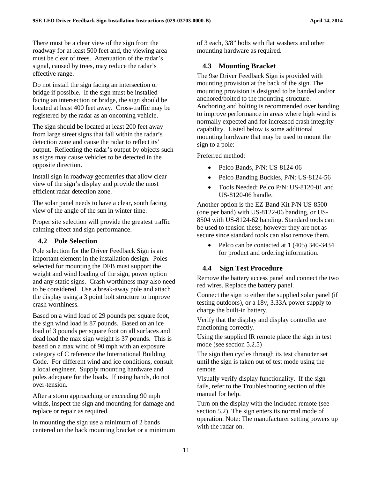There must be a clear view of the sign from the roadway for at least 500 feet and, the viewing area must be clear of trees. Attenuation of the radar's signal, caused by trees, may reduce the radar's effective range.

Do not install the sign facing an intersection or bridge if possible. If the sign must be installed facing an intersection or bridge, the sign should be located at least 400 feet away. Cross-traffic may be registered by the radar as an oncoming vehicle.

The sign should be located at least 200 feet away from large street signs that fall within the radar's detection zone and cause the radar to reflect its' output. Reflecting the radar's output by objects such as signs may cause vehicles to be detected in the opposite direction.

Install sign in roadway geometries that allow clear view of the sign's display and provide the most efficient radar detection zone.

The solar panel needs to have a clear, south facing view of the angle of the sun in winter time.

Proper site selection will provide the greatest traffic calming effect and sign performance.

### <span id="page-11-0"></span>**4.2 Pole Selection**

Pole selection for the Driver Feedback Sign is an important element in the installation design. Poles selected for mounting the DFB must support the weight and wind loading of the sign, power option and any static signs. Crash worthiness may also need to be considered. Use a break-away pole and attach the display using a 3 point bolt structure to improve crash worthiness.

Based on a wind load of 29 pounds per square foot, the sign wind load is 87 pounds. Based on an ice load of 3 pounds per square foot on all surfaces and dead load the max sign weight is 37 pounds. This is based on a max wind of 90 mph with an exposure category of C reference the International Building Code. For different wind and ice conditions, consult a local engineer. Supply mounting hardware and poles adequate for the loads. If using bands, do not over-tension.

After a storm approaching or exceeding 90 mph winds, inspect the sign and mounting for damage and replace or repair as required.

In mounting the sign use a minimum of 2 bands centered on the back mounting bracket or a minimum of 3 each, 3/8" bolts with flat washers and other mounting hardware as required.

### <span id="page-11-1"></span>**4.3 Mounting Bracket**

The 9se Driver Feedback Sign is provided with mounting provision at the back of the sign. The mounting provision is designed to be banded and/or anchored/bolted to the mounting structure. Anchoring and bolting is recommended over banding to improve performance in areas where high wind is normally expected and for increased crash integrity capability. Listed below is some additional mounting hardware that may be used to mount the sign to a pole:

Preferred method:

- Pelco Bands, P/N: US-8124-06
- Pelco Banding Buckles, P/N: US-8124-56
- Tools Needed: Pelco P/N: US-8120-01 and US-8120-06 handle.

Another option is the EZ-Band Kit P/N US-8500 (one per band) with US-8122-06 banding, or US-8504 with US-8124-62 banding. Standard tools can be used to tension these; however they are not as secure since standard tools can also remove them.

• Pelco can be contacted at 1 (405) 340-3434 for product and ordering information.

### <span id="page-11-2"></span>**4.4 Sign Test Procedure**

Remove the battery access panel and connect the two red wires. Replace the battery panel.

Connect the sign to either the supplied solar panel (if testing outdoors), or a 18v, 3.33A power supply to charge the built-in battery.

Verify that the display and display controller are functioning correctly.

Using the supplied IR remote place the sign in test mode (see section 5.2.5)

The sign then cycles through its test character set until the sign is taken out of test mode using the remote

Visually verify display functionality. If the sign fails, refer to the Troubleshooting section of this manual for help.

Turn on the display with the included remote (see section 5.2). The sign enters its normal mode of operation. Note: The manufacturer setting powers up with the radar on.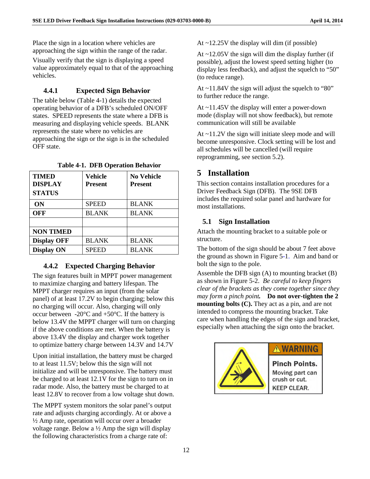Place the sign in a location where vehicles are approaching the sign within the range of the radar.

Visually verify that the sign is displaying a speed value approximately equal to that of the approaching vehicles.

### <span id="page-12-0"></span>**4.4.1 Expected Sign Behavior**

The table below (Table 4-1) details the expected operating behavior of a DFB's scheduled ON/OFF states. SPEED represents the state where a DFB is measuring and displaying vehicle speeds. BLANK represents the state where no vehicles are approaching the sign or the sign is in the scheduled OFF state.

| <b>TIMED</b><br><b>DISPLAY</b><br><b>STATUS</b> | Vehicle<br>Present | <b>No Vehicle</b><br><b>Present</b> |
|-------------------------------------------------|--------------------|-------------------------------------|
| <b>ON</b>                                       | <b>SPEED</b>       | <b>BLANK</b>                        |
| OFF                                             | <b>BLANK</b>       | <b>BLANK</b>                        |
|                                                 |                    |                                     |
| <b>NON TIMED</b>                                |                    |                                     |
| <b>Display OFF</b>                              | <b>BLANK</b>       | <b>BLANK</b>                        |
| <b>Display ON</b>                               | <b>SPEED</b>       | <b>BLANK</b>                        |

**Table 4-1. DFB Operation Behavior** 

### <span id="page-12-1"></span>**4.4.2 Expected Charging Behavior**

The sign features built in MPPT power management to maximize charging and battery lifespan. The MPPT charger requires an input (from the solar panel) of at least 17.2V to begin charging; below this no charging will occur. Also, charging will only occur between  $-20^{\circ}$ C and  $+50^{\circ}$ C. If the battery is below 13.4V the MPPT charger will turn on charging if the above conditions are met. When the battery is above 13.4V the display and charger work together to optimize battery charge between 14.3V and 14.7V

Upon initial installation, the battery must be charged to at least 11.5V; below this the sign will not initialize and will be unresponsive. The battery must be charged to at least 12.1V for the sign to turn on in radar mode. Also, the battery must be charged to at least 12.8V to recover from a low voltage shut down.

The MPPT system monitors the solar panel's output rate and adjusts charging accordingly. At or above a ½ Amp rate, operation will occur over a broader voltage range. Below a  $\frac{1}{2}$  Amp the sign will display the following characteristics from a charge rate of:

At ~12.25V the display will dim (if possible)

At  $\sim$ 12.05V the sign will dim the display further (if possible), adjust the lowest speed setting higher (to display less feedback), and adjust the squelch to "50" (to reduce range).

At ~11.84V the sign will adjust the squelch to "80" to further reduce the range.

At ~11.45V the display will enter a power-down mode (display will not show feedback), but remote communication will still be available

At ~11.2V the sign will initiate sleep mode and will become unresponsive. Clock setting will be lost and all schedules will be cancelled (will require reprogramming, see section 5.2).

### <span id="page-12-2"></span>**5 Installation**

This section contains installation procedures for a Driver Feedback Sign (DFB). The 9SE DFB includes the required solar panel and hardware for most installations.

### <span id="page-12-3"></span>**5.1 Sign Installation**

Attach the mounting bracket to a suitable pole or structure.

The bottom of the sign should be about 7 feet above the ground as shown in Figure 5-1. Aim and band or bolt the sign to the pole.

Assemble the DFB sign (A) to mounting bracket (B) as shown in Figure 5-2. *Be careful to keep fingers clear of the brackets as they come together since they may form a pinch point.* **Do not over-tighten the 2 mounting bolts (C).** They act as a pin, and are not intended to compress the mounting bracket. Take care when handling the edges of the sign and bracket, especially when attaching the sign onto the bracket.



### **A WARNING**

**Pinch Points.** Moving part can crush or cut. **KEEP CLEAR.**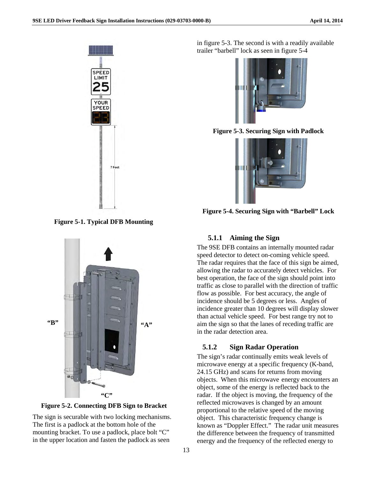

**Figure 5-1. Typical DFB Mounting**



**Figure 5-2. Connecting DFB Sign to Bracket**

The sign is securable with two locking mechanisms. The first is a padlock at the bottom hole of the mounting bracket. To use a padlock, place bolt "C" in the upper location and fasten the padlock as seen

in figure 5-3. The second is with a readily available trailer "barbell" lock as seen in figure 5-4



**Figure 5-3. Securing Sign with Padlock**



**Figure 5-4. Securing Sign with "Barbell" Lock** 

#### <span id="page-13-0"></span>**5.1.1 Aiming the Sign**

The 9SE DFB contains an internally mounted radar speed detector to detect on-coming vehicle speed. The radar requires that the face of this sign be aimed, allowing the radar to accurately detect vehicles. For best operation, the face of the sign should point into traffic as close to parallel with the direction of traffic flow as possible. For best accuracy, the angle of incidence should be 5 degrees or less. Angles of incidence greater than 10 degrees will display slower than actual vehicle speed. For best range try not to aim the sign so that the lanes of receding traffic are in the radar detection area.

#### <span id="page-13-1"></span>**5.1.2 Sign Radar Operation**

The sign's radar continually emits weak levels of microwave energy at a specific frequency (K-band, 24.15 GHz) and scans for returns from moving objects. When this microwave energy encounters an object, some of the energy is reflected back to the radar. If the object is moving, the frequency of the reflected microwaves is changed by an amount proportional to the relative speed of the moving object. This characteristic frequency change is known as "Doppler Effect." The radar unit measures the difference between the frequency of transmitted energy and the frequency of the reflected energy to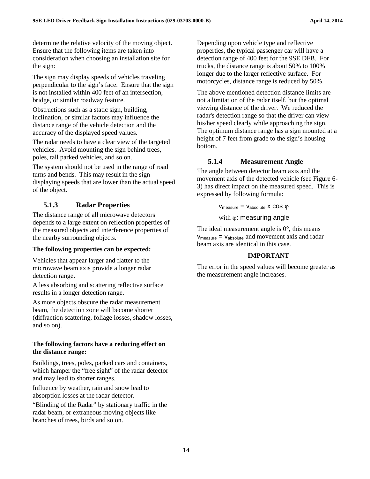determine the relative velocity of the moving object. Ensure that the following items are taken into consideration when choosing an installation site for the sign:

The sign may display speeds of vehicles traveling perpendicular to the sign's face. Ensure that the sign is not installed within 400 feet of an intersection, bridge, or similar roadway feature.

Obstructions such as a static sign, building, inclination, or similar factors may influence the distance range of the vehicle detection and the accuracy of the displayed speed values.

The radar needs to have a clear view of the targeted vehicles. Avoid mounting the sign behind trees, poles, tall parked vehicles, and so on.

The system should not be used in the range of road turns and bends. This may result in the sign displaying speeds that are lower than the actual speed of the object.

### <span id="page-14-0"></span>**5.1.3 Radar Properties**

The distance range of all microwave detectors depends to a large extent on reflection properties of the measured objects and interference properties of the nearby surrounding objects.

### **The following properties can be expected:**

Vehicles that appear larger and flatter to the microwave beam axis provide a longer radar detection range.

A less absorbing and scattering reflective surface results in a longer detection range.

As more objects obscure the radar measurement beam, the detection zone will become shorter (diffraction scattering, foliage losses, shadow losses, and so on).

### **The following factors have a reducing effect on the distance range:**

Buildings, trees, poles, parked cars and containers, which hamper the "free sight" of the radar detector and may lead to shorter ranges.

Influence by weather, rain and snow lead to absorption losses at the radar detector.

"Blinding of the Radar" by stationary traffic in the radar beam, or extraneous moving objects like branches of trees, birds and so on.

Depending upon vehicle type and reflective properties, the typical passenger car will have a detection range of 400 feet for the 9SE DFB. For trucks, the distance range is about 50% to 100% longer due to the larger reflective surface. For motorcycles, distance range is reduced by 50%.

The above mentioned detection distance limits are not a limitation of the radar itself, but the optimal viewing distance of the driver. We reduced the radar's detection range so that the driver can view his/her speed clearly while approaching the sign. The optimum distance range has a sign mounted at a height of 7 feet from grade to the sign's housing bottom.

### <span id="page-14-1"></span>**5.1.4 Measurement Angle**

The angle between detector beam axis and the movement axis of the detected vehicle (see Figure 6- 3) has direct impact on the measured speed. This is expressed by following formula:

 $V_{\text{measure}} = V_{\text{absolute}} \times \cos \varphi$ 

with  $φ$ : measuring angle

The ideal measurement angle is  $0^\circ$ , this means  $V_{\text{measure}} = V_{\text{absolute}}$  and movement axis and radar beam axis are identical in this case.

#### **IMPORTANT**

The error in the speed values will become greater as the measurement angle increases.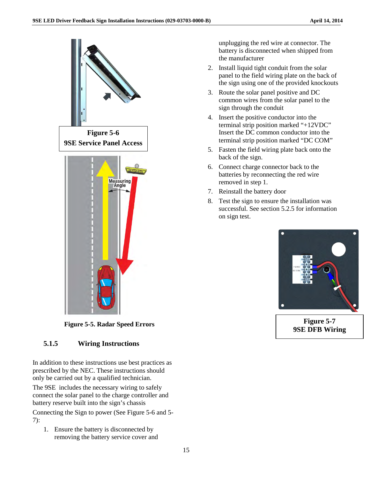

**Figure 5-5. Radar Speed Errors**

### **5.1.5 Wiring Instructions**

In addition to these instructions use best practices as prescribed by the NEC. These instructions should only be carried out by a qualified technician.

The 9SE includes the necessary wiring to safely connect the solar panel to the charge controller and battery reserve built into the sign's chassis

Connecting the Sign to power (See Figure 5-6 and 5- 7):

1. Ensure the battery is disconnected by removing the battery service cover and

unplugging the red wire at connector. The battery is disconnected when shipped from the manufacturer

- 2. Install liquid tight conduit from the solar panel to the field wiring plate on the back of the sign using one of the provided knockouts
- 3. Route the solar panel positive and DC common wires from the solar panel to the sign through the conduit
- 4. Insert the positive conductor into the terminal strip position marked "+12VDC" Insert the DC common conductor into the terminal strip position marked "DC COM"
- 5. Fasten the field wiring plate back onto the back of the sign.
- 6. Connect charge connector back to the batteries by reconnecting the red wire removed in step 1.
- 7. Reinstall the battery door
- 8. Test the sign to ensure the installation was successful. See section 5.2.5 for information on sign test.



**Figure 5-7 9SE DFB Wiring**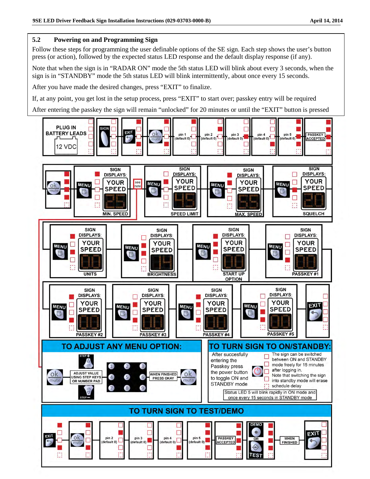### **5.2 Powering on and Programming Sign**

Follow these steps for programming the user definable options of the SE sign. Each step shows the user's button press (or action), followed by the expected status LED response and the default display response (if any).

Note that when the sign is in "RADAR ON" mode the 5th status LED will blink about every 3 seconds, when the sign is in "STANDBY" mode the 5th status LED will blink intermittently, about once every 15 seconds.

After you have made the desired changes, press "EXIT" to finalize.

If, at any point, you get lost in the setup process, press "EXIT" to start over; passkey entry will be required

After entering the passkey the sign will remain "unlocked" for 20 minutes or until the "EXIT" button is pressed

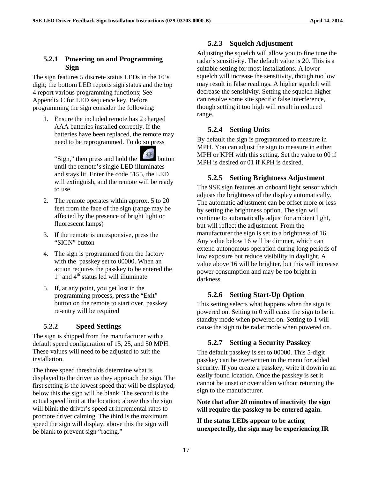#### <span id="page-17-0"></span>**5.2.1 Powering on and Programming Sign**

The sign features 5 discrete status LEDs in the 10's digit; the bottom LED reports sign status and the top 4 report various programming functions; See Appendix C for LED sequence key. Before programming the sign consider the following:

1. Ensure the included remote has 2 charged AAA batteries installed correctly. If the batteries have been replaced, the remote may need to be reprogrammed. To do so press

"Sign," then press and hold the until the remote's single LED illuminates and stays lit. Enter the code 5155, the LED will extinguish, and the remote will be ready to use

- 2. The remote operates within approx. 5 to 20 feet from the face of the sign (range may be affected by the presence of bright light or fluorescent lamps)
- 3. If the remote is unresponsive, press the "SIGN" button
- 4. The sign is programmed from the factory with the passkey set to 00000. When an action requires the passkey to be entered the  $1<sup>st</sup>$  and  $4<sup>th</sup>$  status led will illuminate
- 5. If, at any point, you get lost in the programming process, press the "Exit" button on the remote to start over, passkey re-entry will be required

### <span id="page-17-1"></span>**5.2.2 Speed Settings**

The sign is shipped from the manufacturer with a default speed configuration of 15, 25, and 50 MPH. These values will need to be adjusted to suit the installation.

The three speed thresholds determine what is displayed to the driver as they approach the sign. The first setting is the lowest speed that will be displayed; below this the sign will be blank. The second is the actual speed limit at the location; above this the sign will blink the driver's speed at incremental rates to promote driver calming. The third is the maximum speed the sign will display; above this the sign will be blank to prevent sign "racing."

### **5.2.3 Squelch Adjustment**

<span id="page-17-2"></span>Adjusting the squelch will allow you to fine tune the radar's sensitivity. The default value is 20. This is a suitable setting for most installations. A lower squelch will increase the sensitivity, though too low may result in false readings. A higher squelch will decrease the sensitivity. Setting the squelch higher can resolve some site specific false interference, though setting it too high will result in reduced range.

### <span id="page-17-3"></span>**5.2.4 Setting Units**

By default the sign is programmed to measure in MPH. You can adjust the sign to measure in either MPH or KPH with this setting. Set the value to 00 if MPH is desired or 01 if KPH is desired.

### <span id="page-17-4"></span>**5.2.5 Setting Brightness Adjustment**

The 9SE sign features an onboard light sensor which adjusts the brightness of the display automatically. The automatic adjustment can be offset more or less by setting the brightness option. The sign will continue to automatically adjust for ambient light, but will reflect the adjustment. From the manufacturer the sign is set to a brightness of 16. Any value below 16 will be dimmer, which can extend autonomous operation during long periods of low exposure but reduce visibility in daylight. A value above 16 will be brighter, but this will increase power consumption and may be too bright in darkness.

### <span id="page-17-5"></span>**5.2.6 Setting Start-Up Option**

This setting selects what happens when the sign is powered on. Setting to 0 will cause the sign to be in standby mode when powered on. Setting to 1 will cause the sign to be radar mode when powered on.

### <span id="page-17-6"></span>**5.2.7 Setting a Security Passkey**

The default passkey is set to 00000. This 5-digit passkey can be overwritten in the menu for added security. If you create a passkey, write it down in an easily found location. Once the passkey is set it cannot be unset or overridden without returning the sign to the manufacturer.

**Note that after 20 minutes of inactivity the sign will require the passkey to be entered again.**

**If the status LEDs appear to be acting unexpectedly, the sign may be experiencing IR**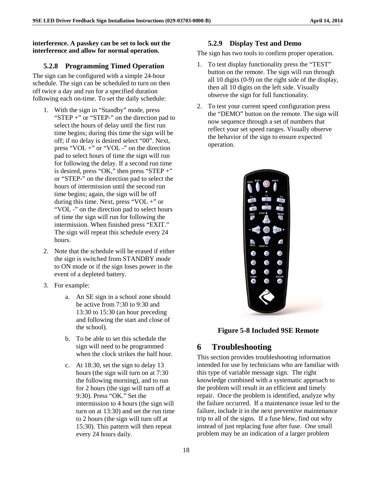### **interference. A passkey can be set to lock out the interference and allow for normal operation.**

### <span id="page-18-0"></span>**5.2.8 Programming Timed Operation**

The sign can be configured with a simple 24-hour schedule. The sign can be scheduled to turn on then off twice a day and run for a specified duration following each on-time. To set the daily schedule:

- 1. With the sign in "Standby" mode, press "STEP +" or "STEP-" on the direction pad to select the hours of delay until the first run time begins; during this time the sign will be off; if no delay is desired select "00". Next, press "VOL  $+$ " or "VOL  $-$ " on the direction pad to select hours of time the sign will run for following the delay. If a second run time is desired, press "OK," then press "STEP  $+$ " or "STEP-" on the direction pad to select the hours of intermission until the second run time begins; again, the sign will be off during this time. Next, press "VOL  $+$ " or "VOL -" on the direction pad to select hours of time the sign will run for following the intermission. When finished press "EXIT." The sign will repeat this schedule every 24 hours.
- 2. Note that the schedule will be erased if either the sign is switched from STANDBY mode to ON mode or if the sign loses power in the event of a depleted battery.
- 3. For example:
	- a. An SE sign in a school zone should be active from 7:30 to 9:30 and 13:30 to 15:30 (an hour preceding and following the start and close of the school).
	- b. To be able to set this schedule the sign will need to be programmed when the clock strikes the half hour.
	- c. At 18:30, set the sign to delay 13 hours (the sign will turn on at 7:30 the following morning), and to run for 2 hours (the sign will turn off at 9:30). Press "OK." Set the intermission to 4 hours (the sign will turn on at 13:30) and set the run time to 2 hours (the sign will turn off at 15:30). This pattern will then repeat every 24 hours daily.

### **5.2.9 Display Test and Demo**

<span id="page-18-1"></span>The sign has two tools to confirm proper operation.

- 1. To test display functionality press the "TEST" button on the remote. The sign will run through all 10 digits (0-9) on the right side of the display, then all 10 digits on the left side. Visually observe the sign for full functionality.
- 2. To test your current speed configuration press the "DEMO" button on the remote. The sign will now sequence through a set of numbers that reflect your set speed ranges. Visually observe the behavior of the sign to ensure expected operation.



**Figure 5-8 Included 9SE Remote** 

### <span id="page-18-2"></span>**6 Troubleshooting**

This section provides troubleshooting information intended for use by technicians who are familiar with this type of variable message sign. The right knowledge combined with a systematic approach to the problem will result in an efficient and timely repair. Once the problem is identified, analyze why the failure occurred. If a maintenance issue led to the failure, include it in the next preventive maintenance trip to all of the signs. If a fuse blew, find out why instead of just replacing fuse after fuse. One small problem may be an indication of a larger problem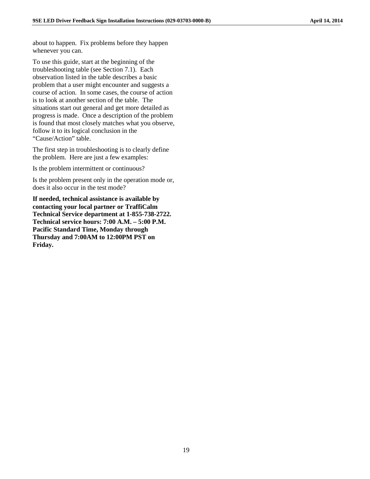about to happen. Fix problems before they happen whenever you can.

To use this guide, start at the beginning of the troubleshooting table (see Section 7.1). Each observation listed in the table describes a basic problem that a user might encounter and suggests a course of action. In some cases, the course of action is to look at another section of the table. The situations start out general and get more detailed as progress is made. Once a description of the problem is found that most closely matches what you observe, follow it to its logical conclusion in the "Cause/Action" table.

The first step in troubleshooting is to clearly define the problem. Here are just a few examples:

Is the problem intermittent or continuous?

Is the problem present only in the operation mode or, does it also occur in the test mode?

**If needed, technical assistance is available by contacting your local partner or TraffiCalm Technical Service department at 1-855-738-2722. Technical service hours: 7:00 A.M. – 5:00 P.M. Pacific Standard Time, Monday through Thursday and 7:00AM to 12:00PM PST on Friday.**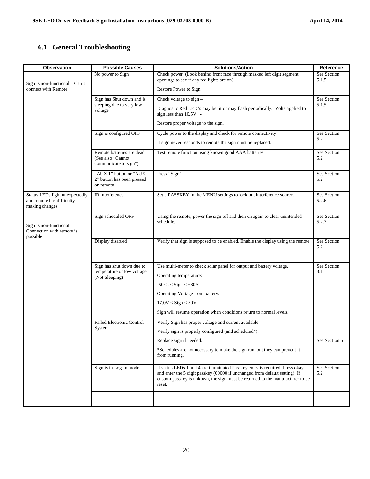### <span id="page-20-0"></span>**6.1 General Troubleshooting**

| <b>Observation</b>                                                            | <b>Possible Causes</b>                                                  | <b>Solutions/Action</b>                                                                                                                                                                                                                                | Reference            |
|-------------------------------------------------------------------------------|-------------------------------------------------------------------------|--------------------------------------------------------------------------------------------------------------------------------------------------------------------------------------------------------------------------------------------------------|----------------------|
|                                                                               | No power to Sign                                                        | Check power (Look behind front face through masked left digit segment<br>openings to see if any red lights are on) -                                                                                                                                   | See Section<br>5.1.5 |
| Sign is non-functional $-$ Can't<br>connect with Remote                       |                                                                         | Restore Power to Sign                                                                                                                                                                                                                                  |                      |
|                                                                               | Sign has Shut down and is                                               | Check voltage to $sign -$                                                                                                                                                                                                                              | See Section          |
|                                                                               | sleeping due to very low<br>voltage                                     | Diagnostic Red LED's may be lit or may flash periodically. Volts applied to<br>sign less than $10.5V -$                                                                                                                                                | 5.1.5                |
|                                                                               |                                                                         | Restore proper voltage to the sign.                                                                                                                                                                                                                    |                      |
|                                                                               | Sign is configured OFF                                                  | Cycle power to the display and check for remote connectivity                                                                                                                                                                                           | See Section          |
|                                                                               |                                                                         | If sign never responds to remote the sign must be replaced.                                                                                                                                                                                            | 5.2                  |
|                                                                               | Remote batteries are dead<br>(See also "Cannot<br>communicate to sign") | Test remote function using known good AAA batteries                                                                                                                                                                                                    | See Section<br>5.2   |
|                                                                               | "AUX 1" button or "AUX                                                  | Press "Sign"                                                                                                                                                                                                                                           | See Section          |
|                                                                               | 2" button has been pressed<br>on remote                                 |                                                                                                                                                                                                                                                        | 5.2                  |
| Status LEDs light unexpectedly<br>and remote has difficulty<br>making changes | IR interference                                                         | Set a PASSKEY in the MENU settings to lock out interference source.                                                                                                                                                                                    | See Section<br>5.2.6 |
|                                                                               | Sign scheduled OFF                                                      | Using the remote, power the sign off and then on again to clear unintended                                                                                                                                                                             | See Section<br>5.2.7 |
| Sign is non-functional $-$<br>Connection with remote is<br>possible           |                                                                         | schedule.                                                                                                                                                                                                                                              |                      |
|                                                                               | Display disabled                                                        | Verify that sign is supposed to be enabled. Enable the display using the remote                                                                                                                                                                        | See Section<br>5.2   |
|                                                                               | Sign has shut down due to                                               | Use multi-meter to check solar panel for output and battery voltage.                                                                                                                                                                                   | See Section          |
|                                                                               | temperature or low voltage                                              |                                                                                                                                                                                                                                                        | 3.1                  |
|                                                                               | (Not Sleeping)                                                          | Operating temperature:                                                                                                                                                                                                                                 |                      |
|                                                                               |                                                                         | $-50^{\circ}$ C < Sign < $+80^{\circ}$ C                                                                                                                                                                                                               |                      |
|                                                                               |                                                                         | Operating Voltage from battery:                                                                                                                                                                                                                        |                      |
|                                                                               |                                                                         | $17.0V <$ Sign $< 30V$                                                                                                                                                                                                                                 |                      |
|                                                                               |                                                                         | Sign will resume operation when conditions return to normal levels.                                                                                                                                                                                    |                      |
|                                                                               | <b>Failed Electronic Control</b>                                        | Verify Sign has proper voltage and current available.                                                                                                                                                                                                  |                      |
|                                                                               | System                                                                  | Verify sign is properly configured (and scheduled*).                                                                                                                                                                                                   |                      |
|                                                                               |                                                                         | Replace sign if needed.                                                                                                                                                                                                                                | See Section 5        |
|                                                                               |                                                                         | *Schedules are not necessary to make the sign run, but they can prevent it<br>from running.                                                                                                                                                            |                      |
|                                                                               | Sign is in Log-In mode                                                  | If status LEDs 1 and 4 are illuminated Passkey entry is required. Press okay<br>and enter the 5 digit passkey (00000 if unchanged from default setting). If<br>custom passkey is unkown, the sign must be returned to the manufacturer to be<br>reset. | See Section<br>5.2   |
|                                                                               |                                                                         |                                                                                                                                                                                                                                                        |                      |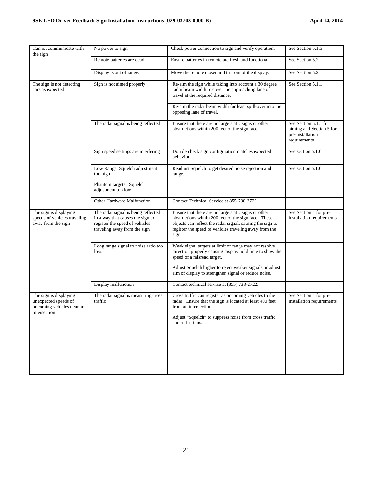| Cannot communicate with<br>the sign                                                         | No power to sign                                                                                                                          | Check power connection to sign and verify operation.                                                                                                                                                                                         | See Section 5.1.5                                                                     |
|---------------------------------------------------------------------------------------------|-------------------------------------------------------------------------------------------------------------------------------------------|----------------------------------------------------------------------------------------------------------------------------------------------------------------------------------------------------------------------------------------------|---------------------------------------------------------------------------------------|
|                                                                                             | Remote batteries are dead                                                                                                                 | Ensure batteries in remote are fresh and functional                                                                                                                                                                                          | See Section 5.2                                                                       |
|                                                                                             | Display is out of range.                                                                                                                  | Move the remote closer and in front of the display.                                                                                                                                                                                          | See Section 5.2                                                                       |
| The sign is not detecting<br>cars as expected                                               | Sign is not aimed properly                                                                                                                | Re-aim the sign while taking into account a 30 degree<br>radar beam width to cover the approaching lane of<br>travel at the required distance.                                                                                               | See Section 5.1.1                                                                     |
|                                                                                             |                                                                                                                                           | Re-aim the radar beam width for least spill-over into the<br>opposing lane of travel.                                                                                                                                                        |                                                                                       |
|                                                                                             | The radar signal is being reflected                                                                                                       | Ensure that there are no large static signs or other<br>obstructions within 200 feet of the sign face.                                                                                                                                       | See Section 5.1.1 for<br>aiming and Section 5 for<br>pre-installation<br>requirements |
|                                                                                             | Sign speed settings are interfering                                                                                                       | Double check sign configuration matches expected<br>behavior.                                                                                                                                                                                | See section 5.1.6                                                                     |
|                                                                                             | Low Range: Squelch adjustment<br>too high                                                                                                 | Readjust Squelch to get desired noise rejection and<br>range.                                                                                                                                                                                | See section 5.1.6                                                                     |
|                                                                                             | Phantom targets: Squelch<br>adjustment too low                                                                                            |                                                                                                                                                                                                                                              |                                                                                       |
|                                                                                             | Other Hardware Malfunction                                                                                                                | Contact Technical Service at 855-738-2722                                                                                                                                                                                                    |                                                                                       |
| The sign is displaying<br>speeds of vehicles traveling<br>away from the sign                | The radar signal is being reflected<br>in a way that causes the sign to<br>register the speed of vehicles<br>traveling away from the sign | Ensure that there are no large static signs or other<br>obstructions within 200 feet of the sign face. These<br>objects can reflect the radar signal, causing the sign to<br>register the speed of vehicles traveling away from the<br>sign. | See Section 4 for pre-<br>installation requirements                                   |
|                                                                                             | Long range signal to noise ratio too<br>low.                                                                                              | Weak signal targets at limit of range may not resolve<br>direction properly causing display hold time to show the<br>speed of a misread target.                                                                                              |                                                                                       |
|                                                                                             |                                                                                                                                           | Adjust Squelch higher to reject weaker signals or adjust<br>aim of display to strengthen signal or reduce noise.                                                                                                                             |                                                                                       |
|                                                                                             | Display malfunction                                                                                                                       | Contact technical service at (855) 738-2722.                                                                                                                                                                                                 |                                                                                       |
| The sign is displaying<br>unexpected speeds of<br>oncoming vehicles near an<br>intersection | The radar signal is measuring cross<br>traffic                                                                                            | Cross traffic can register as oncoming vehicles to the<br>radar. Ensure that the sign is located at least 400 feet<br>from an intersection                                                                                                   | See Section 4 for pre-<br>installation requirements                                   |
|                                                                                             |                                                                                                                                           | Adjust "Squelch" to suppress noise from cross traffic<br>and reflections.                                                                                                                                                                    |                                                                                       |
|                                                                                             |                                                                                                                                           |                                                                                                                                                                                                                                              |                                                                                       |
|                                                                                             |                                                                                                                                           |                                                                                                                                                                                                                                              |                                                                                       |
|                                                                                             |                                                                                                                                           |                                                                                                                                                                                                                                              |                                                                                       |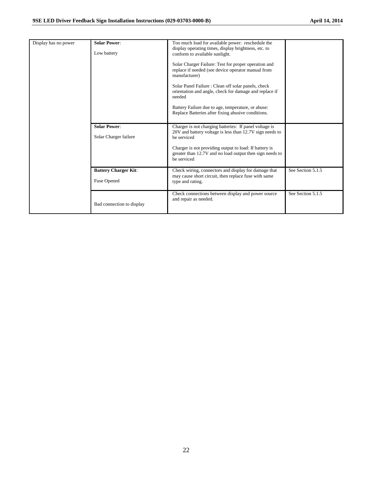| Display has no power | <b>Solar Power:</b><br>Low battery                | Too much load for available power: reschedule the<br>display operating times, display brightness, etc. to<br>conform to available sunlight.<br>Solar Charger Failure: Test for proper operation and<br>replace if needed (see device operator manual from<br>manufacturer)<br>Solar Panel Failure: Clean off solar panels, check<br>orientation and angle, check for damage and replace if<br>needed<br>Battery Failure due to age, temperature, or abuse:<br>Replace Batteries after fixing abusive conditions. |                   |
|----------------------|---------------------------------------------------|------------------------------------------------------------------------------------------------------------------------------------------------------------------------------------------------------------------------------------------------------------------------------------------------------------------------------------------------------------------------------------------------------------------------------------------------------------------------------------------------------------------|-------------------|
|                      | <b>Solar Power:</b><br>Solar Charger failure      | Charger is not charging batteries: If panel voltage is<br>20V and battery voltage is less than 12.7V sign needs to<br>be serviced<br>Charger is not providing output to load: If battery is<br>greater than 12.7V and no load output then sign needs to<br>be serviced                                                                                                                                                                                                                                           |                   |
|                      | <b>Battery Charger Kit:</b><br><b>Fuse Opened</b> | Check wiring, connectors and display for damage that<br>may cause short circuit, then replace fuse with same<br>type and rating.                                                                                                                                                                                                                                                                                                                                                                                 | See Section 5.1.5 |
|                      | Bad connection to display                         | Check connections between display and power source<br>and repair as needed.                                                                                                                                                                                                                                                                                                                                                                                                                                      | See Section 5.1.5 |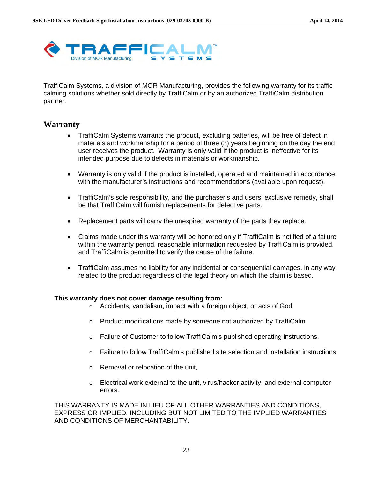

TraffiCalm Systems, a division of MOR Manufacturing, provides the following warranty for its traffic calming solutions whether sold directly by TraffiCalm or by an authorized TraffiCalm distribution partner.

### <span id="page-23-0"></span>**Warranty**

- TraffiCalm Systems warrants the product, excluding batteries, will be free of defect in materials and workmanship for a period of three (3) years beginning on the day the end user receives the product. Warranty is only valid if the product is ineffective for its intended purpose due to defects in materials or workmanship.
- Warranty is only valid if the product is installed, operated and maintained in accordance with the manufacturer's instructions and recommendations (available upon request).
- TraffiCalm's sole responsibility, and the purchaser's and users' exclusive remedy, shall be that TraffiCalm will furnish replacements for defective parts.
- Replacement parts will carry the unexpired warranty of the parts they replace.
- Claims made under this warranty will be honored only if TraffiCalm is notified of a failure within the warranty period, reasonable information requested by TraffiCalm is provided, and TraffiCalm is permitted to verify the cause of the failure.
- TraffiCalm assumes no liability for any incidental or consequential damages, in any way related to the product regardless of the legal theory on which the claim is based.

#### **This warranty does not cover damage resulting from:**

- o Accidents, vandalism, impact with a foreign object, or acts of God.
- $\circ$  Product modifications made by someone not authorized by TraffiCalm
- $\circ$  Failure of Customer to follow TraffiCalm's published operating instructions,
- o Failure to follow TraffiCalm's published site selection and installation instructions,
- o Removal or relocation of the unit,
- o Electrical work external to the unit, virus/hacker activity, and external computer errors.

THIS WARRANTY IS MADE IN LIEU OF ALL OTHER WARRANTIES AND CONDITIONS, EXPRESS OR IMPLIED, INCLUDING BUT NOT LIMITED TO THE IMPLIED WARRANTIES AND CONDITIONS OF MERCHANTABILITY.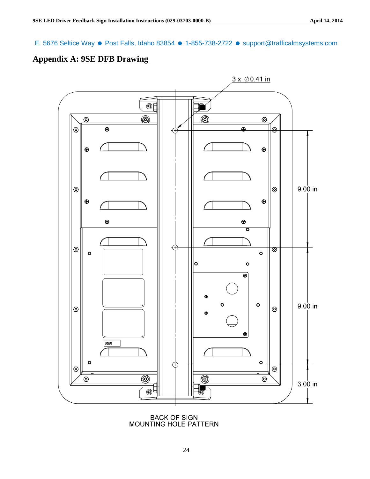E. 5676 Seltice Way ● Post Falls, Idaho 83854 ● 1-855-738-2722 ● support@trafficalmsystems.com

### <span id="page-24-0"></span>**Appendix A: 9SE DFB Drawing**



BACK OF SIGN<br>MOUNTING HOLE PATTERN